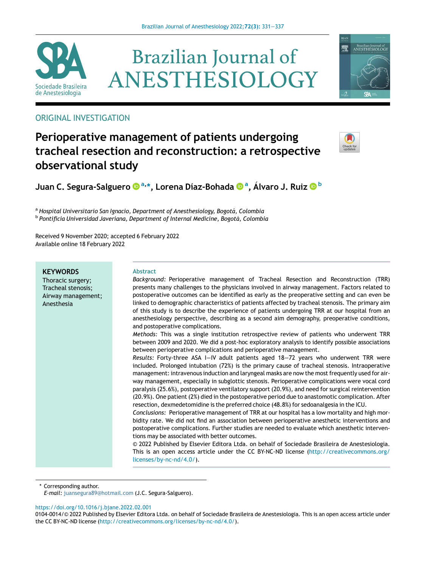

# **Brazilian Journal of** ANESTHESIOLOGY



# ORIGINAL INVESTIGATION

# Perioperative management of patients undergoing tracheal resection and reconstruction: a retrospective observational study



Juan C. Segura-Salguero [a,](http://orcid.org/0000-0002-8620-6661) [\\*](http://orcid.org/0000-0002-8620-6661)[, Lorena Díaz-Bohada](http://orcid.org/0000-0003-3863-8993) [a](http://orcid.org/0000-0003-3863-8993) [,](http://orcid.org/0000-0003-3863-8993) A[lvaro J. Ruiz](http://orcid.org/0000-0001-6528-4268) [b](http://orcid.org/0000-0001-6528-4268)

a Hospital Universitario San Ignacio, Department of Anesthesiology, Bogotá, Colombia <sup>b</sup> Pontificia Universidad Javeriana, Department of Internal Medicine, Bogotá, Colombia

Received 9 November 2020; accepted 6 February 2022 Available online 18 February 2022

| <b>KEYWORDS</b><br>Thoracic surgery;<br>Tracheal stenosis;<br>Airway management;<br>Anesthesia | <b>Abstract</b><br>Background: Perioperative management of Tracheal Resection and Reconstruction (TRR)<br>presents many challenges to the physicians involved in airway management. Factors related to<br>postoperative outcomes can be identified as early as the preoperative setting and can even be<br>linked to demographic characteristics of patients affected by tracheal stenosis. The primary aim<br>of this study is to describe the experience of patients undergoing TRR at our hospital from an<br>anesthesiology perspective, describing as a second aim demography, preoperative conditions,<br>and postoperative complications.                                                                                                                                                                                                                                                                                                                                                                                                                                                                                                                                                                                                                                                                                                                                                                                                                                                                                                           |
|------------------------------------------------------------------------------------------------|------------------------------------------------------------------------------------------------------------------------------------------------------------------------------------------------------------------------------------------------------------------------------------------------------------------------------------------------------------------------------------------------------------------------------------------------------------------------------------------------------------------------------------------------------------------------------------------------------------------------------------------------------------------------------------------------------------------------------------------------------------------------------------------------------------------------------------------------------------------------------------------------------------------------------------------------------------------------------------------------------------------------------------------------------------------------------------------------------------------------------------------------------------------------------------------------------------------------------------------------------------------------------------------------------------------------------------------------------------------------------------------------------------------------------------------------------------------------------------------------------------------------------------------------------------|
|                                                                                                | Methods: This was a single institution retrospective review of patients who underwent TRR<br>between 2009 and 2020. We did a post-hoc exploratory analysis to identify possible associations<br>between perioperative complications and perioperative management.<br>Results: Forty-three ASA I-IV adult patients aged 18-72 years who underwent TRR were<br>included. Prolonged intubation (72%) is the primary cause of tracheal stenosis. Intraoperative<br>management: intravenous induction and laryngeal masks are now the most frequently used for air-<br>way management, especially in subglottic stenosis. Perioperative complications were vocal cord<br>paralysis (25.6%), postoperative ventilatory support (20.9%), and need for surgical reintervention<br>(20.9%). One patient (2%) died in the postoperative period due to anastomotic complication. After<br>resection, dexmedetomidine is the preferred choice (48.8%) for sedoanalgesia in the ICU.<br>Conclusions: Perioperative management of TRR at our hospital has a low mortality and high mor-<br>bidity rate. We did not find an association between perioperative anesthetic interventions and<br>postoperative complications. Further studies are needed to evaluate which anesthetic interven-<br>tions may be associated with better outcomes.<br>© 2022 Published by Elsevier Editora Ltda. on behalf of Sociedade Brasileira de Anestesiologia.<br>This is an open access article under the CC BY-NC-ND license (http://creativecommons.org/<br>licenses/by-nc-nd/4.0/). |

\* Corresponding author.

E-mail: [juansegura89@hotmail.com](mailto:juansegura89@hotmail.com) (J.C. Segura-Salguero).

<https://doi.org/10.1016/j.bjane.2022.02.001>

<sup>0104-0014/© 2022</sup> Published by Elsevier Editora Ltda. on behalf of Sociedade Brasileira de Anestesiologia. This is an open access article under the CC BY-NC-ND license ([http://creativecommons.org/licenses/by-nc-nd/4.0/\)](http://creativecommons.org/licenses/by-nc-nd/4.0/).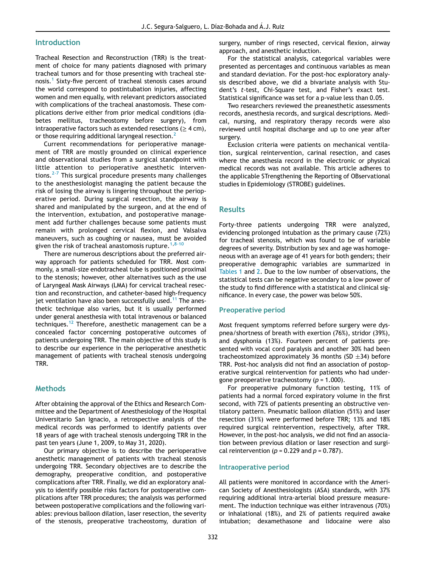# **Introduction**

Tracheal Resection and Reconstruction (TRR) is the treatment of choice for many patients diagnosed with primary tracheal tumors and for those presenting with tracheal ste-nosis.<sup>[1](#page-5-0)</sup> Sixty-five percent of tracheal stenosis cases around the world correspond to postintubation injuries, affecting women and men equally, with relevant predictors associated with complications of the tracheal anastomosis. These complications derive either from prior medical conditions (diabetes mellitus, tracheostomy before surgery), from intraoperative factors such as extended resections ( $\geq 4$  cm), or those requiring additional laryngeal resection.<sup>[2](#page-5-1)</sup>

Current recommendations for perioperative management of TRR are mostly grounded on clinical experience and observational studies from a surgical standpoint with little attention to perioperative anesthetic interven-tions.<sup>[2-7](#page-5-1)</sup> This surgical procedure presents many challenges to the anesthesiologist managing the patient because the risk of losing the airway is lingering throughout the perioperative period. During surgical resection, the airway is shared and manipulated by the surgeon, and at the end of the intervention, extubation, and postoperative management add further challenges because some patients must remain with prolonged cervical flexion, and Valsalva maneuvers, such as coughing or nausea, must be avoided given the risk of tracheal anastomosis rupture.  $1,8-10$  $1,8-10$  $1,8-10$ 

There are numerous descriptions about the preferred airway approach for patients scheduled for TRR. Most commonly, a small-size endotracheal tube is positioned proximal to the stenosis; however, other alternatives such as the use of Laryngeal Mask Airways (LMA) for cervical tracheal resection and reconstruction, and catheter-based high-frequency jet ventilation have also been successfully used.<sup>[11](#page-5-3)</sup> The anesthetic technique also varies, but it is usually performed under general anesthesia with total intravenous or balanced techniques.<sup>[12](#page-5-4)</sup> Therefore, anesthetic management can be a concealed factor concerning postoperative outcomes of patients undergoing TRR. The main objective of this study is to describe our experience in the perioperative anesthetic management of patients with tracheal stenosis undergoing TRR.

## **Methods**

After obtaining the approval of the Ethics and Research Committee and the Department of Anesthesiology of the Hospital Universitario San Ignacio, a retrospective analysis of the medical records was performed to identify patients over 18 years of age with tracheal stenosis undergoing TRR in the past ten years (June 1, 2009, to May 31, 2020).

Our primary objective is to describe the perioperative anesthetic management of patients with tracheal stenosis undergoing TRR. Secondary objectives are to describe the demography, preoperative condition, and postoperative complications after TRR. Finally, we did an exploratory analysis to identify possible risks factors for postoperative complications after TRR procedures; the analysis was performed between postoperative complications and the following variables: previous balloon dilation, laser resection, the severity of the stenosis, preoperative tracheostomy, duration of surgery, number of rings resected, cervical flexion, airway approach, and anesthetic induction.

For the statistical analysis, categorical variables were presented as percentages and continuous variables as mean and standard deviation. For the post-hoc exploratory analysis described above, we did a bivariate analysis with Student's t-test, Chi-Square test, and Fisher's exact test. Statistical significance was set for a p-value less than 0.05.

Two researchers reviewed the preanesthetic assessments records, anesthesia records, and surgical descriptions. Medical, nursing, and respiratory therapy records were also reviewed until hospital discharge and up to one year after surgery.

Exclusion criteria were patients on mechanical ventilation, surgical reintervention, carinal resection, and cases where the anesthesia record in the electronic or physical medical records was not available. This article adheres to the applicable STrengthening the Reporting of OBservational studies in Epidemiology (STROBE) guidelines.

#### Results

Forty-three patients undergoing TRR were analyzed, evidencing prolonged intubation as the primary cause (72%) for tracheal stenosis, which was found to be of variable degrees of severity. Distribution by sex and age was homogeneous with an average age of 41 years for both genders; their preoperative demographic variables are summarized in [Tables 1](#page-2-0) and [2.](#page-2-1) Due to the low number of observations, the statistical tests can be negative secondary to a low power of the study to find difference with a statistical and clinical significance. In every case, the power was below 50%.

#### Preoperative period

Most frequent symptoms referred before surgery were dyspnea/shortness of breath with exertion (76%), stridor (39%), and dysphonia (13%). Fourteen percent of patients presented with vocal cord paralysis and another 30% had been tracheostomized approximately 36 months (SD  $\pm$ 34) before TRR. Post-hoc analysis did not find an association of postoperative surgical reintervention for patients who had undergone preoperative tracheostomy ( $p = 1.000$ ).

For preoperative pulmonary function testing, 11% of patients had a normal forced expiratory volume in the first second, with 72% of patients presenting an obstructive ventilatory pattern. Pneumatic balloon dilation (51%) and laser resection (31%) were performed before TRR; 13% and 18% required surgical reintervention, respectively, after TRR. However, in the post-hoc analysis, we did not find an association between previous dilation or laser resection and surgical reintervention ( $p = 0.229$  and  $p = 0.787$ ).

#### Intraoperative period

All patients were monitored in accordance with the American Society of Anesthesiologists (ASA) standards, with 37% requiring additional intra-arterial blood pressure measurement. The induction technique was either intravenous (70%) or inhalational (18%), and 2% of patients required awake intubation; dexamethasone and lidocaine were also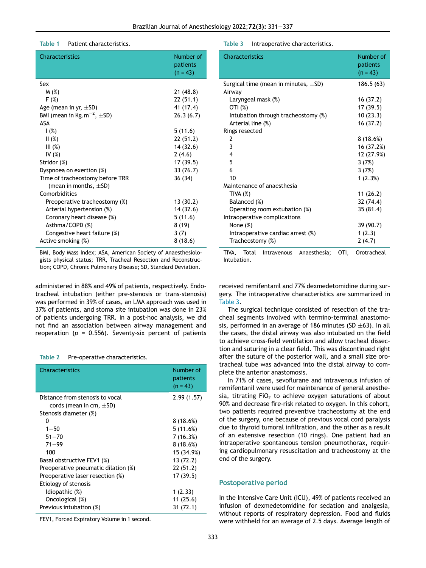#### <span id="page-2-2"></span>Table 1 Patient characteristics.

<span id="page-2-0"></span>

| Characteristics                             | Number of<br>patients<br>$(n = 43)$ |
|---------------------------------------------|-------------------------------------|
| Sex                                         |                                     |
| M(%)                                        | 21 (48.8)                           |
| F(%)                                        | 22(51.1)                            |
| Age (mean in yr, $\pm$ SD)                  | 41 (17.4)                           |
| BMI (mean in Kg.m <sup>-2</sup> , $\pm$ SD) | 26.3(6.7)                           |
| ASA                                         |                                     |
| 1(%)                                        | 5(11.6)                             |
| II(%)                                       | 22(51.2)                            |
| III(%)                                      | 14 (32.6)                           |
| IV $(%)$                                    | 2(4.6)                              |
| Stridor (%)                                 | 17(39.5)                            |
| Dyspnoea on exertion (%)                    | 33 (76.7)                           |
| Time of tracheostomy before TRR             | 36 (34)                             |
| (mean in months, $\pm$ SD)                  |                                     |
| Comorbidities                               |                                     |
| Preoperative tracheostomy (%)               | 13 (30.2)                           |
| Arterial hypertension (%)                   | 14(32.6)                            |
| Coronary heart disease (%)                  | 5(11.6)                             |
| Asthma/COPD (%)                             | 8 (19)                              |
| Congestive heart failure (%)                | 3(7)                                |
| Active smoking (%)                          | 8(18.6)                             |

BMI, Body Mass Index; ASA, American Society of Anaesthesiologists physical status; TRR, Tracheal Resection and Reconstruction; COPD, Chronic Pulmonary Disease; SD, Standard Deviation.

administered in 88% and 49% of patients, respectively. Endotracheal intubation (either pre-stenosis or trans-stenosis) was performed in 39% of cases, an LMA approach was used in 37% of patients, and stoma site intubation was done in 23% of patients undergoing TRR. In a post-hoc analysis, we did not find an association between airway management and reoperation ( $p = 0.556$ ). Seventy-six percent of patients

#### <span id="page-2-1"></span>Table 2 Pre-operative characteristics.

| <b>Characteristics</b>                                                                   | Number of<br>patients<br>$(n = 43)$ |
|------------------------------------------------------------------------------------------|-------------------------------------|
| Distance from stenosis to vocal<br>cords (mean in cm, $\pm$ SD)<br>Stenosis diameter (%) | 2.99(1.57)                          |
| ŋ                                                                                        | 8(18.6%)                            |
| $1 - 50$                                                                                 | 5(11.6%)                            |
| $51 - 70$                                                                                | 7(16.3%)                            |
| $71 - 99$                                                                                | 8(18.6%)                            |
| 100                                                                                      | 15 (34.9%)                          |
| Basal obstructive FEV1 (%)                                                               | 13 (72.2)                           |
| Preoperative pneumatic dilation (%)                                                      | 22 (51.2)                           |
| Preoperative laser resection (%)                                                         | 17 (39.5)                           |
| Etiology of stenosis                                                                     |                                     |
| Idiopathic (%)                                                                           | 1(2.33)                             |
| Oncological (%)                                                                          | 11 (25.6)                           |
| Previous intubation (%)                                                                  | 31(72.1)                            |

FEV1, Forced Expiratory Volume in 1 second.

#### Table 3 Intraoperative characteristics.

| <b>Characteristics</b>                       |     | Number of<br>patients<br>$(n = 43)$ |
|----------------------------------------------|-----|-------------------------------------|
| Surgical time (mean in minutes, $\pm$ SD)    |     | 186.5(63)                           |
| Airway                                       |     |                                     |
| Laryngeal mask (%)                           |     | 16 (37.2)                           |
| OTI (%)                                      |     | 17 (39.5)                           |
| Intubation through tracheostomy (%)          |     | 10(23.3)                            |
| Arterial line (%)                            |     | 16 (37.2)                           |
| Rings resected                               |     |                                     |
| 2                                            |     | 8 (18.6%)                           |
| 3                                            |     | 16 (37.2%)                          |
| 4                                            |     | 12 (27.9%)                          |
| 5                                            |     | 3(7%)                               |
| 6                                            |     | 3(7%)                               |
| 10                                           |     | 1(2.3%)                             |
| Maintenance of anaesthesia                   |     |                                     |
| TIVA(%)                                      |     | 11 (26.2)                           |
| Balanced (%)                                 |     | 32 (74.4)                           |
| Operating room extubation (%)                |     | 35 (81.4)                           |
| Intraoperative complications                 |     |                                     |
| None (%)                                     |     | 39 (90.7)                           |
| Intraoperative cardiac arrest (%)            |     | 1(2.3)                              |
| Tracheostomy (%)                             |     | 2(4.7)                              |
| Intravenous<br>Anaesthesia:<br>TIVA<br>Total | ΩTΙ | Orotracheal                         |

TIVA, Total Intravenous Anaesthesia; OTI, Orotracheal Intubation.

received remifentanil and 77% dexmedetomidine during surgery. The intraoperative characteristics are summarized in [Table 3.](#page-2-2)

The surgical technique consisted of resection of the tracheal segments involved with termino-terminal anastomosis, performed in an average of 186 minutes (SD  $\pm$ 63). In all the cases, the distal airway was also intubated on the field to achieve cross-field ventilation and allow tracheal dissection and suturing in a clear field. This was discontinued right after the suture of the posterior wall, and a small size orotracheal tube was advanced into the distal airway to complete the anterior anastomosis.

In 71% of cases, sevoflurane and intravenous infusion of remifentanil were used for maintenance of general anesthesia, titrating  $FiO<sub>2</sub>$  to achieve oxygen saturations of about 90% and decrease fire-risk related to oxygen. In this cohort, two patients required preventive tracheostomy at the end of the surgery, one because of previous vocal cord paralysis due to thyroid tumoral infiltration, and the other as a result of an extensive resection (10 rings). One patient had an intraoperative spontaneous tension pneumothorax, requiring cardiopulmonary resuscitation and tracheostomy at the end of the surgery.

#### Postoperative period

In the Intensive Care Unit (ICU), 49% of patients received an infusion of dexmedetomidine for sedation and analgesia, without reports of respiratory depression. Food and fluids were withheld for an average of 2.5 days. Average length of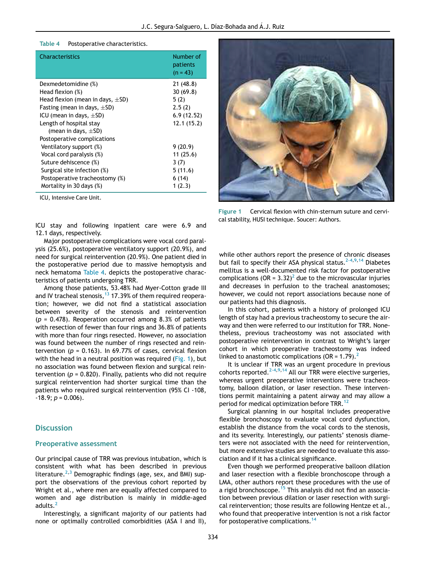#### <span id="page-3-1"></span>Table 4 Postoperative characteristics.

<span id="page-3-0"></span>

| Characteristics                       | Number of<br>patients<br>$(n = 43)$ |
|---------------------------------------|-------------------------------------|
| Dexmedetomidine (%)                   | 21 (48.8)                           |
| Head flexion (%)                      | 30(69.8)                            |
| Head flexion (mean in days, $\pm$ SD) | 5(2)                                |
| Fasting (mean in days, $\pm$ SD)      | 2.5(2)                              |
| ICU (mean in days, $\pm$ SD)          | 6.9(12.52)                          |
| Length of hospital stay               | 12.1(15.2)                          |
| (mean in days, $\pm$ SD)              |                                     |
| Postoperative complications           |                                     |
| Ventilatory support (%)               | 9(20.9)                             |
| Vocal cord paralysis (%)              | 11(25.6)                            |
| Suture dehiscence (%)                 | 3(7)                                |
| Surgical site infection (%)           | 5(11.6)                             |
| Postoperative tracheostomy (%)        | 6 (14)                              |
| Mortality in 30 days (%)              | 1(2.3)                              |
|                                       |                                     |

ICU, Intensive Care Unit.

ICU stay and following inpatient care were 6.9 and 12.1 days, respectively.

Major postoperative complications were vocal cord paralysis (25.6%), postoperative ventilatory support (20.9%), and need for surgical reintervention (20.9%). One patient died in the postoperative period due to massive hemoptysis and neck hematoma [Table 4.](#page-3-0) depicts the postoperative characteristics of patients undergoing TRR.

Among those patients, 53.48% had Myer-Cotton grade III and IV tracheal stenosis,  $13$  17.39% of them required reoperation; however, we did not find a statistical association between severity of the stenosis and reintervention  $(p = 0.478)$ . Reoperation occurred among 8.3% of patients with resection of fewer than four rings and 36.8% of patients with more than four rings resected. However, no association was found between the number of rings resected and reintervention ( $p = 0.163$ ). In 69.77% of cases, cervical flexion with the head in a neutral position was required ( $Fig. 1$ ), but no association was found between flexion and surgical reintervention ( $p = 0.820$ ). Finally, patients who did not require surgical reintervention had shorter surgical time than the patients who required surgical reintervention (95% CI -108,  $-18.9; p = 0.006$ ).

#### **Discussion**

#### Preoperative assessment

Our principal cause of TRR was previous intubation, which is consistent with what has been described in previous literature. $^{2,3}$  $^{2,3}$  $^{2,3}$  $^{2,3}$  Demographic findings (age, sex, and BMI) support the observations of the previous cohort reported by Wright et al., where men are equally affected compared to women and age distribution is mainly in middle-aged adults.<sup>[2](#page-5-1)</sup>

Interestingly, a significant majority of our patients had none or optimally controlled comorbidities (ASA I and II),



Figure 1 Cervical flexion with chin-sternum suture and cervical stability, HUSI technique. Soucer: Authors.

while other authors report the presence of chronic diseases but fail to specify their ASA physical status.<sup>[2-4](#page-5-1)[,9](#page-5-7)[,14](#page-5-8)</sup> Diabetes mellitus is a well-documented risk factor for postoperative complications (OR =  $3.32$  $3.32$ )<sup>2</sup> due to the microvascular injuries and decreases in perfusion to the tracheal anastomoses; however, we could not report associations because none of our patients had this diagnosis.

In this cohort, patients with a history of prolonged ICU length of stay had a previous tracheostomy to secure the airway and then were referred to our institution for TRR. Nonetheless, previous tracheostomy was not associated with postoperative reintervention in contrast to Wright's larger cohort in which preoperative tracheostomy was indeed linked to anastomotic complications (OR =  $1.79$ ).<sup>[2](#page-5-1)</sup>

It is unclear if TRR was an urgent procedure in previous cohorts reported.<sup>[2-4](#page-5-1)[,9](#page-5-7)[,14](#page-5-8)</sup> All our TRR were elective surgeries, whereas urgent preoperative interventions were tracheostomy, balloon dilation, or laser resection. These interventions permit maintaining a patent airway and may allow a period for medical optimization before TRR.<sup>[12](#page-5-4)</sup>

Surgical planning in our hospital includes preoperative flexible bronchoscopy to evaluate vocal cord dysfunction, establish the distance from the vocal cords to the stenosis, and its severity. Interestingly, our patients' stenosis diameters were not associated with the need for reintervention, but more extensive studies are needed to evaluate this association and if it has a clinical significance.

Even though we performed preoperative balloon dilation and laser resection with a flexible bronchoscope through a LMA, other authors report these procedures with the use of a rigid bronchoscope.<sup>[15](#page-5-9)</sup> This analysis did not find an association between previous dilation or laser resection with surgical reintervention; those results are following Hentze et al., who found that preoperative intervention is not a risk factor for postoperative complications.<sup>[14](#page-5-8)</sup>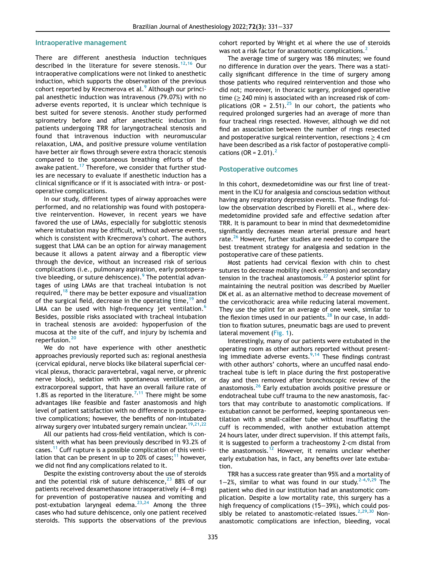#### Intraoperative management

There are different anesthesia induction techniques described in the literature for severe stenosis.<sup>[12,](#page-5-4)[16](#page-5-10)</sup> Our intraoperative complications were not linked to anesthetic induction, which supports the observation of the previous cohort reported by Krecmerova et al.<sup>[9](#page-5-7)</sup> Although our principal anesthetic induction was intravenous (79.07%) with no adverse events reported, it is unclear which technique is best suited for severe stenosis. Another study performed spirometry before and after anesthetic induction in patients undergoing TRR for laryngotracheal stenosis and found that intravenous induction with neuromuscular relaxation, LMA, and positive pressure volume ventilation have better air flows through severe extra thoracic stenosis compared to the spontaneous breathing efforts of the awake patient.<sup>[17](#page-5-11)</sup> Therefore, we consider that further studies are necessary to evaluate if anesthetic induction has a clinical significance or if it is associated with intra- or postoperative complications.

In our study, different types of airway approaches were performed, and no relationship was found with postoperative reintervention. However, in recent years we have favored the use of LMAs, especially for subglottic stenosis where intubation may be difficult, without adverse events, which is consistent with Krecmerova's cohort. The authors suggest that LMA can be an option for airway management because it allows a patent airway and a fiberoptic view through the device, without an increased risk of serious complications (i.e., pulmonary aspiration, early postopera-tive bleeding, or suture dehiscence).<sup>[9](#page-5-7)</sup> The potential advantages of using LMAs are that tracheal intubation is not required, $18$  there may be better exposure and visualization of the surgical field, decrease in the operating time, <sup>[19](#page-5-13)</sup> and LMA can be used with high-frequency jet ventilation.<sup>[6](#page-5-14)</sup> Besides, possible risks associated with tracheal intubation in tracheal stenosis are avoided: hypoperfusion of the mucosa at the site of the cuff, and injury by ischemia and reperfusion.<sup>[20](#page-5-15)</sup>

We do not have experience with other anesthetic approaches previously reported such as: regional anesthesia (cervical epidural, nerve blocks like bilateral superficial cervical plexus, thoracic paravertebral, vagal nerve, or phrenic nerve block), sedation with spontaneous ventilation, or extracorporeal support, that have an overall failure rate of 1.8% as reported in the literature.<sup>[7](#page-5-16),[11](#page-5-3)</sup> There might be some advantages like feasible and faster anastomosis and high level of patient satisfaction with no difference in postoperative complications; however, the benefits of non-intubated airway surgery over intubated surgery remain unclear.  $19,21,22$  $19,21,22$  $19,21,22$  $19,21,22$ 

All our patients had cross-field ventilation, which is consistent with what has been previously described in 93.2% of cases.[11](#page-5-3) Cuff rupture is a possible complication of this ventilation that can be present in up to 20% of cases; $^{11}$  $^{11}$  $^{11}$  however, we did not find any complications related to it.

Despite the existing controversy about the use of steroids and the potential risk of suture dehiscence,  $2388$  $2388$  of our patients received dexamethasone intraoperatively (4−8 mg) for prevention of postoperative nausea and vomiting and post-extubation laryngeal edema. $23,24$  $23,24$  Among the three cases who had suture dehiscence, only one patient received steroids. This supports the observations of the previous cohort reported by Wright et al where the use of steroids was not a risk factor for anastomotic complications.<sup>[2](#page-5-1)</sup>

The average time of surgery was 186 minutes; we found no difference in duration over the years. There was a statically significant difference in the time of surgery among those patients who required reintervention and those who did not; moreover, in thoracic surgery, prolonged operative time ( $\geq$  240 min) is associated with an increased risk of com-plications (OR = 2.51).<sup>[25](#page-6-0)</sup> In our cohort, the patients who required prolonged surgeries had an average of more than four tracheal rings resected. However, although we did not find an association between the number of rings resected and postoperative surgical reintervention, resections  $\geq 4$  cm have been described as a risk factor of postoperative complications (OR =  $2.01$  $2.01$ ).<sup>2</sup>

#### Postoperative outcomes

In this cohort, dexmedetomidine was our first line of treatment in the ICU for analgesia and conscious sedation without having any respiratory depression events. These findings follow the observation described by Fiorelli et al., where dexmedetomidine provided safe and effective sedation after TRR. It is paramount to bear in mind that dexmedetomidine significantly decreases mean arterial pressure and heart rate.<sup>[26](#page-6-1)</sup> However, further studies are needed to compare the best treatment strategy for analgesia and sedation in the postoperative care of these patients.

Most patients had cervical flexion with chin to chest sutures to decrease mobility (neck extension) and secondary tension in the tracheal anastomosis.<sup>[27](#page-6-2)</sup> A posterior splint for maintaining the neutral position was described by Mueller DK et al. as an alternative method to decrease movement of the cervicothoracic area while reducing lateral movement. They use the splint for an average of one week, similar to the flexion times used in our patients. $^{28}$  $^{28}$  $^{28}$  In our case, in addition to fixation sutures, pneumatic bags are used to prevent lateral movement ([Fig. 1](#page-3-1)).

Interestingly, many of our patients were extubated in the operating room as other authors reported without presenting immediate adverse events. $9,14$  $9,14$  $9,14$  These findings contrast with other authors' cohorts, where an uncuffed nasal endotracheal tube is left in place during the first postoperative day and then removed after bronchoscopic review of the anastomosis.[26](#page-6-1) Early extubation avoids positive pressure or endotracheal tube cuff trauma to the new anastomosis, factors that may contribute to anastomotic complications. If extubation cannot be performed, keeping spontaneous ventilation with a small-caliber tube without insufflating the cuff is recommended, with another extubation attempt 24 hours later, under direct supervision. If this attempt fails, it is suggested to perform a tracheostomy 2-cm distal from the anastomosis.<sup>[12](#page-5-4)</sup> However, it remains unclear whether early extubation has, in fact, any benefits over late extubation.

TRR has a success rate greater than 95% and a mortality of 1−2%, similar to what was found in our study.<sup>[2-4](#page-5-1),[9](#page-5-7),[29](#page-6-4)</sup> The patient who died in our institution had an anastomotic complication. Despite a low mortality rate, this surgery has a high frequency of complications (15−39%), which could pos-sibly be related to anastomotic-related issues.<sup>[2](#page-5-1)[,29](#page-6-4),[30](#page-6-5)</sup> Nonanastomotic complications are infection, bleeding, vocal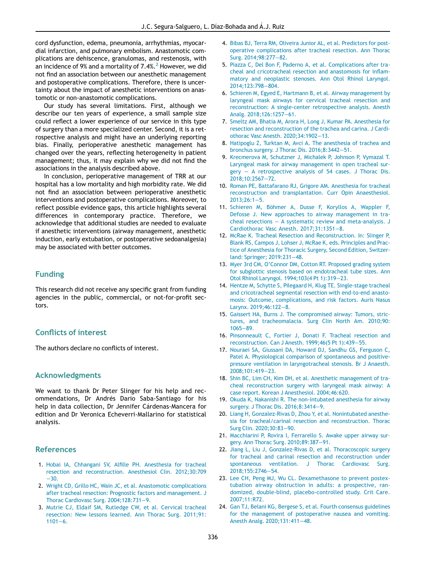cord dysfunction, edema, pneumonia, arrhythmias, myocardial infarction, and pulmonary embolism. Anastomotic complications are dehiscence, granulomas, and restenosis, with an incidence of 9% and a mortality of  $7.4\%$ . However, we did not find an association between our anesthetic management and postoperative complications. Therefore, there is uncertainty about the impact of anesthetic interventions on anastomotic or non-anastomotic complications.

<span id="page-5-16"></span><span id="page-5-14"></span>Our study has several limitations. First, although we describe our ten years of experience, a small sample size could reflect a lower experience of our service in this type of surgery than a more specialized center. Second, it is a retrospective analysis and might have an underlying reporting bias. Finally, perioperative anesthetic management has changed over the years, reflecting heterogeneity in patient management; thus, it may explain why we did not find the associations in the analysis described above.

<span id="page-5-7"></span><span id="page-5-3"></span><span id="page-5-2"></span>In conclusion, perioperative management of TRR at our hospital has a low mortality and high morbidity rate. We did not find an association between perioperative anesthetic interventions and postoperative complications. Moreover, to reflect possible evidence gaps, this article highlights several differences in contemporary practice. Therefore, we acknowledge that additional studies are needed to evaluate if anesthetic interventions (airway management, anesthetic induction, early extubation, or postoperative sedoanalgesia) may be associated with better outcomes.

# <span id="page-5-5"></span><span id="page-5-4"></span>Funding

<span id="page-5-8"></span>This research did not receive any specific grant from funding agencies in the public, commercial, or not-for-profit sectors.

# <span id="page-5-10"></span><span id="page-5-9"></span>Conflicts of interest

<span id="page-5-11"></span>The authors declare no conflicts of interest.

# <span id="page-5-12"></span>Acknowledgments

<span id="page-5-15"></span><span id="page-5-13"></span>We want to thank Dr Peter Slinger for his help and recommendations, Dr Andrés Dario Saba-Santiago for his help in data collection, Dr Jennifer Cárdenas-Mancera for edition and Dr Veronica Echeverri-Mallarino for statistical analysis.

# <span id="page-5-18"></span><span id="page-5-17"></span>References

- <span id="page-5-0"></span>1. Hobai IA, Chhangani SV, Alfi[lle PH. Anesthesia for tracheal](http://refhub.elsevier.com/S0104-0014(22)00025-2/sbref0001) [resection and reconstruction. Anesthesiol Clin. 2012;30:709](http://refhub.elsevier.com/S0104-0014(22)00025-2/sbref0001) −[30.](http://refhub.elsevier.com/S0104-0014(22)00025-2/sbref0001)
- <span id="page-5-19"></span><span id="page-5-1"></span>2. [Wright CD, Grillo HC, Wain JC, et al. Anastomotic complications](http://refhub.elsevier.com/S0104-0014(22)00025-2/sbref0002) [after tracheal resection: Prognostic factors and management. J](http://refhub.elsevier.com/S0104-0014(22)00025-2/sbref0002) [Thorac Cardiovasc Surg. 2004;128:731](http://refhub.elsevier.com/S0104-0014(22)00025-2/sbref0002)−9.
- <span id="page-5-20"></span><span id="page-5-6"></span>3. [Mutrie CJ, Eldaif SM, Rutledge CW, et al. Cervical tracheal](http://refhub.elsevier.com/S0104-0014(22)00025-2/sbref0003) [resection: New lessons learned. Ann Thorac Surg. 2011;91:](http://refhub.elsevier.com/S0104-0014(22)00025-2/sbref0003) [1101](http://refhub.elsevier.com/S0104-0014(22)00025-2/sbref0003)−6.
- 4. [Bibas BJ, Terra RM, Oliveira Junior AL, et al. Predictors for post](http://refhub.elsevier.com/S0104-0014(22)00025-2/sbref0004)[operative complications after tracheal resection. Ann Thorac](http://refhub.elsevier.com/S0104-0014(22)00025-2/sbref0004) [Surg. 2014;98:277](http://refhub.elsevier.com/S0104-0014(22)00025-2/sbref0004)−82.
- 5. [Piazza C, Del Bon F, Paderno A, et al. Complications after tra](http://refhub.elsevier.com/S0104-0014(22)00025-2/sbref0005)[cheal and cricotracheal resection and anastomosis for in](http://refhub.elsevier.com/S0104-0014(22)00025-2/sbref0005)flam[matory and neoplastic stenoses. Ann Otol Rhinol Laryngol.](http://refhub.elsevier.com/S0104-0014(22)00025-2/sbref0005) [2014;123:798](http://refhub.elsevier.com/S0104-0014(22)00025-2/sbref0005)−804.
- 6. [Schieren M, Egyed E, Hartmann B, et al. Airway management by](http://refhub.elsevier.com/S0104-0014(22)00025-2/sbref0006) [laryngeal mask airways for cervical tracheal resection and](http://refhub.elsevier.com/S0104-0014(22)00025-2/sbref0006) [reconstruction: A single-center retrospective analysis. Anesth](http://refhub.elsevier.com/S0104-0014(22)00025-2/sbref0006) [Analg. 2018;126:1257](http://refhub.elsevier.com/S0104-0014(22)00025-2/sbref0006)−61.
- 7. [Smeltz AM, Bhatia M, Arora H, Long J, Kumar PA. Anesthesia for](http://refhub.elsevier.com/S0104-0014(22)00025-2/sbref0007) [resection and reconstruction of the trachea and carina. J Cardi](http://refhub.elsevier.com/S0104-0014(22)00025-2/sbref0007)[othorac Vasc Anesth. 2020;34:1902](http://refhub.elsevier.com/S0104-0014(22)00025-2/sbref0007)−13.
- 8. [Hatipoglu Z, Turktan M, Avci A. The anesthesia of trachea and](http://refhub.elsevier.com/S0104-0014(22)00025-2/sbref0008) [bronchus surgery. J Thorac Dis. 2016;8:3442](http://refhub.elsevier.com/S0104-0014(22)00025-2/sbref0008)−51.
- 9. [Krecmerova M, Schutzner J, Michalek P, Johnson P, Vymazal T.](http://refhub.elsevier.com/S0104-0014(22)00025-2/sbref0009) [Laryngeal mask for airway management in open tracheal sur-](http://refhub.elsevier.com/S0104-0014(22)00025-2/sbref0009)gery - [A retrospective analysis of 54 cases. J Thorac Dis.](http://refhub.elsevier.com/S0104-0014(22)00025-2/sbref0009) [2018;10:2567](http://refhub.elsevier.com/S0104-0014(22)00025-2/sbref0009)−72.
- 10. [Roman PE, Battafarano RJ, Grigore AM. Anesthesia for tracheal](http://refhub.elsevier.com/S0104-0014(22)00025-2/sbref0010) [reconstruction and transplantation. Curr Opin Anaesthesiol.](http://refhub.elsevier.com/S0104-0014(22)00025-2/sbref0010) [2013;26:1](http://refhub.elsevier.com/S0104-0014(22)00025-2/sbref0010)−5.
- 11. Schieren M, Böhmer A, Dusse F, Koryllos A, Wappler F, [Defosse J. New approaches to airway management in tra](http://refhub.elsevier.com/S0104-0014(22)00025-2/sbref0011)cheal resections − [A systematic review and meta-analysis. J](http://refhub.elsevier.com/S0104-0014(22)00025-2/sbref0011) [Cardiothorac Vasc Anesth. 2017;31:1351](http://refhub.elsevier.com/S0104-0014(22)00025-2/sbref0011)−8.
- 12. [McRae K. Tracheal Resection and Reconstruction. In: Slinger P,](http://refhub.elsevier.com/S0104-0014(22)00025-2/sbref0012) [Blank RS, Campos J, Lohser J, McRae K, eds. Principles and Prac](http://refhub.elsevier.com/S0104-0014(22)00025-2/sbref0012)[tice of Anesthesia for Thoracic Surgery, Second Edition, Switzer](http://refhub.elsevier.com/S0104-0014(22)00025-2/sbref0012)[land: Springer; 2019:231](http://refhub.elsevier.com/S0104-0014(22)00025-2/sbref0012)−48.
- 13. Myer 3rd CM, O'[Connor DM, Cotton RT. Proposed grading system](http://refhub.elsevier.com/S0104-0014(22)00025-2/sbref0013) [for subglottic stenosis based on endotracheal tube sizes. Ann](http://refhub.elsevier.com/S0104-0014(22)00025-2/sbref0013) [Otol Rhinol Laryngol. 1994;103\(4 Pt 1\):319](http://refhub.elsevier.com/S0104-0014(22)00025-2/sbref0013)−23.
- 14. [Hentze M, Schytte S, Pilegaard H, Klug TE. Single-stage tracheal](http://refhub.elsevier.com/S0104-0014(22)00025-2/sbref0014) [and cricotracheal segmental resection with end-to-end anasto](http://refhub.elsevier.com/S0104-0014(22)00025-2/sbref0014)[mosis: Outcome, complications, and risk factors. Auris Nasus](http://refhub.elsevier.com/S0104-0014(22)00025-2/sbref0014) [Larynx. 2019;46:122](http://refhub.elsevier.com/S0104-0014(22)00025-2/sbref0014)−8.
- 15. [Gaissert HA, Burns J. The compromised airway: Tumors, stric](http://refhub.elsevier.com/S0104-0014(22)00025-2/sbref0015)[tures, and tracheomalacia. Surg Clin North Am. 2010;90:](http://refhub.elsevier.com/S0104-0014(22)00025-2/sbref0015) [1065](http://refhub.elsevier.com/S0104-0014(22)00025-2/sbref0015)−89.
- 16. [Pinsonneault C, Fortier J, Donati F. Tracheal resection and](http://refhub.elsevier.com/S0104-0014(22)00025-2/sbref0016) [reconstruction. Can J Anesth. 1999;46\(5 Pt 1\):439](http://refhub.elsevier.com/S0104-0014(22)00025-2/sbref0016)−55.
- 17. [Nouraei SA, Giussani DA, Howard DJ, Sandhu GS, Ferguson C,](http://refhub.elsevier.com/S0104-0014(22)00025-2/sbref0017) [Patel A. Physiological comparison of spontaneous and positive](http://refhub.elsevier.com/S0104-0014(22)00025-2/sbref0017)[pressure ventilation in laryngotracheal stenosis. Br J Anaesth.](http://refhub.elsevier.com/S0104-0014(22)00025-2/sbref0017) [2008;101:419](http://refhub.elsevier.com/S0104-0014(22)00025-2/sbref0017)−23.
- 18. [Shin BC, Lim CH, Kim DH, et al. Anesthetic management of tra](http://refhub.elsevier.com/S0104-0014(22)00025-2/sbref0018)[cheal reconstruction surgery with laryngeal mask airway: A](http://refhub.elsevier.com/S0104-0014(22)00025-2/sbref0018) [case report. Korean J Anesthesiol. 2004;46:620.](http://refhub.elsevier.com/S0104-0014(22)00025-2/sbref0018)
- 19. [Okuda K, Nakanishi R. The non-intubated anesthesia for airway](http://refhub.elsevier.com/S0104-0014(22)00025-2/sbref0019) [surgery. J Thorac Dis. 2016;8:3414](http://refhub.elsevier.com/S0104-0014(22)00025-2/sbref0019)-9.
- 20. [Liang H, Gonzalez-Rivas D, Zhou Y, et al. Nonintubated anesthe](http://refhub.elsevier.com/S0104-0014(22)00025-2/sbref0020)[sia for tracheal/carinal resection and reconstruction. Thorac](http://refhub.elsevier.com/S0104-0014(22)00025-2/sbref0020) [Surg Clin. 2020;30:83](http://refhub.elsevier.com/S0104-0014(22)00025-2/sbref0020)−90.
- 21. [Macchiarini P, Rovira I, Ferrarello S. Awake upper airway sur](http://refhub.elsevier.com/S0104-0014(22)00025-2/sbref0021)[gery. Ann Thorac Surg. 2010;89:387](http://refhub.elsevier.com/S0104-0014(22)00025-2/sbref0021)−91.
- 22. [Jiang L, Liu J, Gonzalez-Rivas D, et al. Thoracoscopic surgery](http://refhub.elsevier.com/S0104-0014(22)00025-2/sbref0022) [for tracheal and carinal resection and reconstruction under](http://refhub.elsevier.com/S0104-0014(22)00025-2/sbref0022) [spontaneous ventilation. J Thorac Cardiovasc Surg.](http://refhub.elsevier.com/S0104-0014(22)00025-2/sbref0022) [2018;155:2746](http://refhub.elsevier.com/S0104-0014(22)00025-2/sbref0022)−54.
- 23. [Lee CH, Peng MJ, Wu CL. Dexamethasone to prevent postex](http://refhub.elsevier.com/S0104-0014(22)00025-2/sbref0023)[tubation airway obstruction in adults: a prospective, ran](http://refhub.elsevier.com/S0104-0014(22)00025-2/sbref0023)[domized, double-blind, placebo-controlled study. Crit Care.](http://refhub.elsevier.com/S0104-0014(22)00025-2/sbref0023) [2007;11:R72.](http://refhub.elsevier.com/S0104-0014(22)00025-2/sbref0023)
- 24. [Gan TJ, Belani KG, Bergese S, et al. Fourth consensus guidelines](http://refhub.elsevier.com/S0104-0014(22)00025-2/sbref0024) [for the management of postoperative nausea and vomiting.](http://refhub.elsevier.com/S0104-0014(22)00025-2/sbref0024) [Anesth Analg. 2020;131:411](http://refhub.elsevier.com/S0104-0014(22)00025-2/sbref0024)−48.